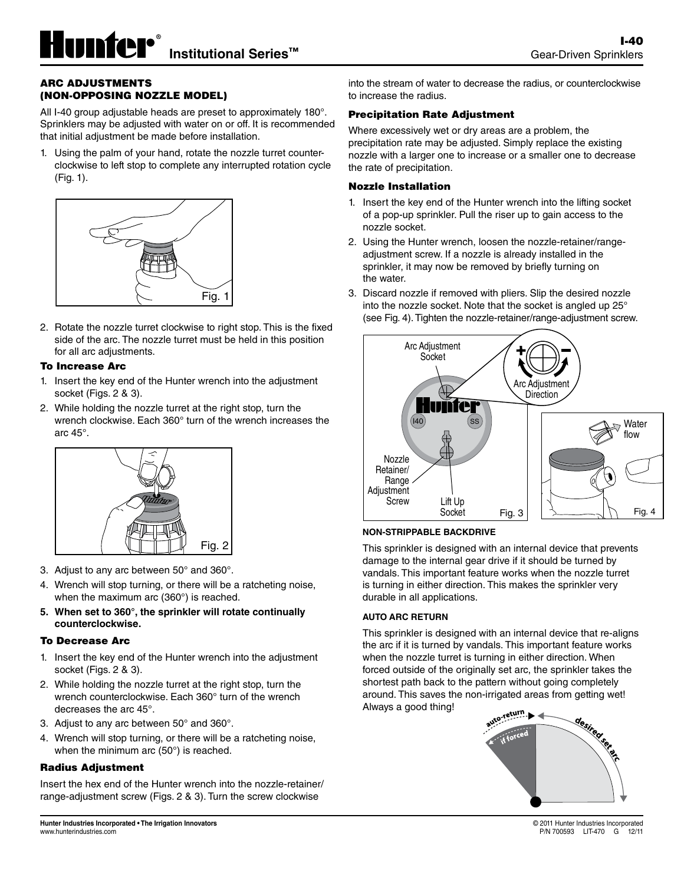### ARC ADJUSTMENTS (NON-OPPOSING NOZZLE MODEL)

All I-40 group adjustable heads are preset to approximately 180°. Sprinklers may be adjusted with water on or off. It is recommended that initial adjustment be made before installation.

1. Using the palm of your hand, rotate the nozzle turret counterclockwise to left stop to complete any interrupted rotation cycle (Fig. 1).



2. Rotate the nozzle turret clockwise to right stop. This is the fixed side of the arc. The nozzle turret must be held in this position for all arc adjustments.

#### To Increase Arc

- 1. Insert the key end of the Hunter wrench into the adjustment socket (Figs. 2 & 3).
- 2. While holding the nozzle turret at the right stop, turn the wrench clockwise. Each 360° turn of the wrench increases the arc 45°.



- 3. Adjust to any arc between 50° and 360°.
- 4. Wrench will stop turning, or there will be a ratcheting noise, when the maximum arc (360°) is reached.
- **5. When set to 360°, the sprinkler will rotate continually counterclockwise.**

#### To Decrease Arc

- 1. Insert the key end of the Hunter wrench into the adjustment socket (Figs. 2 & 3).
- 2. While holding the nozzle turret at the right stop, turn the wrench counterclockwise. Each 360° turn of the wrench decreases the arc 45°.
- 3. Adjust to any arc between 50° and 360°.
- 4. Wrench will stop turning, or there will be a ratcheting noise, when the minimum arc (50°) is reached.

#### Radius Adjustment

Insert the hex end of the Hunter wrench into the nozzle-retainer/ range-adjustment screw (Figs. 2 & 3). Turn the screw clockwise

into the stream of water to decrease the radius, or counterclockwise to increase the radius.

# Precipitation Rate Adjustment

Where excessively wet or dry areas are a problem, the precipitation rate may be adjusted. Simply replace the existing nozzle with a larger one to increase or a smaller one to decrease the rate of precipitation.

# Nozzle Installation

- 1. Insert the key end of the Hunter wrench into the lifting socket of a pop-up sprinkler. Pull the riser up to gain access to the nozzle socket.
- 2. Using the Hunter wrench, loosen the nozzle-retainer/rangeadjustment screw. If a nozzle is already installed in the sprinkler, it may now be removed by briefly turning on the water.
- Fig. 1 3. Discard nozzle if removed with pliers. Slip the desired nozzle is into the nozzle socket. Note that the socket is angled up 25° (see Fig. 4). Tighten the nozzle-retainer/range-adjustment screw.



# **NON-STRIPPABLE BACKDRIVE**

durable in all applications. damage to the internal gear drive if it should be turned by vandals. This important feature works when the nozzle turret This sprinkler is designed with an internal device that prevents is turning in either direction. This makes the sprinkler very

# **AUTO ARC RETURN**

when the nozzle turret is turning in either direction. When This sprinkler is designed with an internal device that re-aligns the arc if it is turned by vandals. This important feature works forced outside of the originally set arc, the sprinkler takes the shortest path back to the pattern without going completely around. This saves the non-irrigated areas from getting wet! Always a good thing!